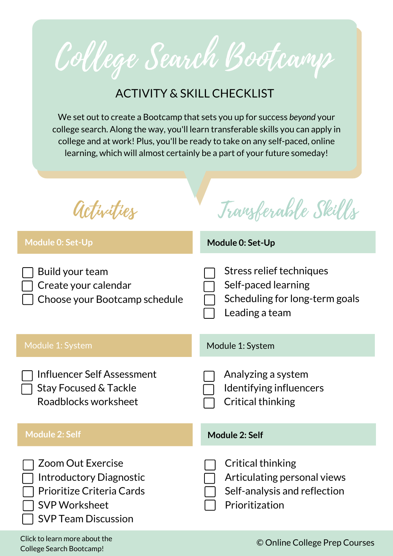College Search Bootcamp

## ACTIVITY & SKILL CHECKLIST

We set out to create a Bootcamp that sets you up for success *beyond* your college search. Along the way, you'll learn transferable skills you can apply in college and at work! Plus, you'll be ready to take on any self-paced, online learning, which will almost certainly be a part of your future someday!

**Module 0: Set-Up** Module 1: System **Module 2: Self Module 0: Set-Up** Stress relief techniques Self-paced learning Scheduling for long-term goals Leading a team Build your team Create your calendar Choose your Bootcamp schedule Module 1: System Analyzing a system Identifying influencers Critical thinking Influencer Self Assessment Stay Focused & Tackle Roadblocks worksheet **Module 2: Self** Critical thinking Articulating personal views Self-analysis and reflection Prioritization Zoom Out Exercise Introductory Diagnostic Prioritize Criteria Cards SVP Worksheet SVP Team Discussion Activities Transferable Skills Click to learn more about the © Online College Prep [Courses](http://onlinecollegeprepcourses.com/)

College Search [Bootcamp!](https://courses.onlinecollegeprepcourses.com/p/college-search-bootcamp-factors-in-choosing-a-college-how-to-choose-the-right-colleges-for-you)